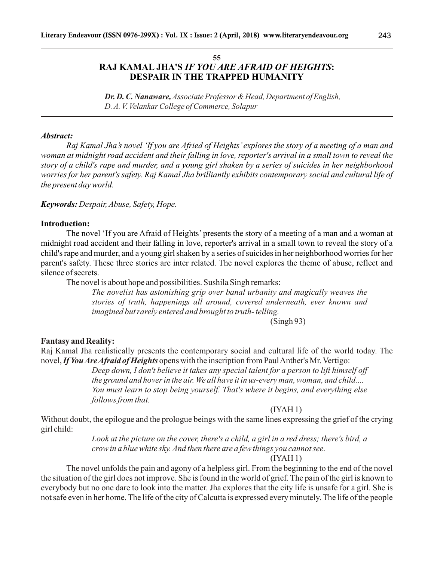# **55 RAJ KAMAL JHA'S** *IF YOU ARE AFRAID OF HEIGHTS***: DESPAIR IN THE TRAPPED HUMANITY**

*Dr. D. C. Nanaware, Associate Professor& Head, Department of English, D. A. V. Velankar College of Commerce, Solapur*

## *Abstract:*

*Raj Kamal Jha's novel 'If you are Afried of Heights' explores the story of a meeting of a man and woman at midnight road accident and their falling in love, reporter's arrival in a small town to reveal the story of a child's rape and murder, and a young girl shaken by a series of suicides in her neighborhood worries for her parent's safety. Raj Kamal Jha brilliantly exhibits contemporary social and cultural life of the present day world.*

## *Keywords: Despair, Abuse, Safety, Hope.*

## **Introduction:**

The novel 'If you are Afraid of Heights' presents the story of a meeting of a man and a woman at midnight road accident and their falling in love, reporter's arrival in a small town to reveal the story of a child's rape and murder, and a young girl shaken by a series of suicides in her neighborhood worries for her parent's safety. These three stories are inter related. The novel explores the theme of abuse, reflect and silence of secrets.

The novel is about hope and possibilities. Sushila Singh remarks:

*The novelist has astonishing grip over banal urbanity and magically weaves the stories of truth, happenings all around, covered underneath, ever known and imagined but rarely entered and brought to truth- telling.*

## (Singh 93)

## **Fantasy and Reality:**

Raj Kamal Jha realistically presents the contemporary social and cultural life of the world today. The novel, *If You Are Afraid of Heights* opens with the inscription from Paul Anther's Mr. Vertigo:

> *Deep down, I don't believe it takes any special talent for a person to lift himself off the ground and hover in the air. We all have it in us-every man, woman, and child.... You must learn to stop being yourself. That's where it begins, and everything else follows from that.*

#### $(IVAH1)$

Without doubt, the epilogue and the prologue beings with the same lines expressing the grief of the crying girl child:

> *Look at the picture on the cover, there's a child, a girl in a red dress; there's bird, a crow in a blue white sky. And then there are a few things you cannot see.*

#### $(IVAH1)$

The novel unfolds the pain and agony of a helpless girl. From the beginning to the end of the novel the situation of the girl does not improve. She is found in the world of grief. The pain of the girl is known to everybody but no one dare to look into the matter. Jha explores that the city life is unsafe for a girl. She is not safe even in her home. The life of the city of Calcutta is expressed every minutely. The life of the people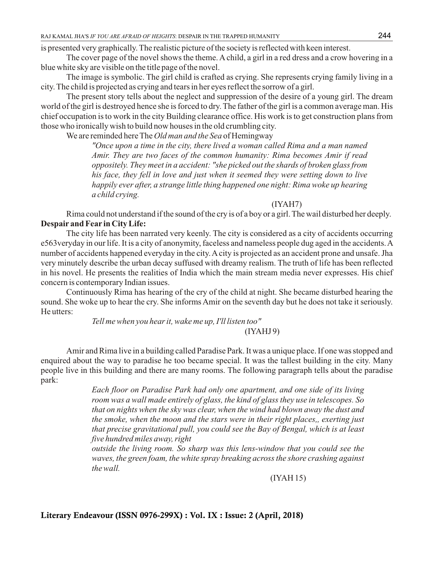is presented very graphically. The realistic picture of the society is reflected with keen interest.

The cover page of the novel shows the theme. Achild, a girl in a red dress and a crow hovering in a blue white sky are visible on the title page of the novel.

The image is symbolic. The girl child is crafted as crying. She represents crying family living in a city. The child is projected as crying and tears in her eyes reflect the sorrow of a girl.

The present story tells about the neglect and suppression of the desire of a young girl. The dream world of the girl is destroyed hence she is forced to dry. The father of the girl is a common average man. His chief occupation is to work in the city Building clearance office. His work is to get construction plans from those who ironically wish to build now houses in the old crumbling city.

We are reminded here The *Old man and the Sea* of Hemingway

*"Once upon a time in the city, there lived a woman called Rima and a man named Amir. They are two faces of the common humanity: Rima becomes Amir if read oppositely. They meet in a accident: "she picked out the shards of broken glass from his face, they fell in love and just when it seemed they were setting down to live happily ever after, a strange little thing happened one night: Rima woke up hearing a child crying.* 

#### (IYAH7)

Rima could not understand if the sound of the cry is of a boy or a girl. The wail disturbed her deeply. **Despair and Fear in City Life:**

The city life has been narrated very keenly. The city is considered as a city of accidents occurring e563veryday in our life. It is a city of anonymity, faceless and nameless people dug aged in the accidents. A number of accidents happened everyday in the city. A city is projected as an accident prone and unsafe. Jha very minutely describe the urban decay suffused with dreamy realism. The truth of life has been reflected in his novel. He presents the realities of India which the main stream media never expresses. His chief concern is contemporary Indian issues.

Continuously Rima has hearing of the cry of the child at night. She became disturbed hearing the sound. She woke up to hear the cry. She informs Amir on the seventh day but he does not take it seriously. He utters:

*Tell me when you hear it, wake me up, I'll listen too"*

# (IYAHJ 9)

Amir and Rima live in a building called Paradise Park. It was a unique place. If one was stopped and enquired about the way to paradise he too became special. It was the tallest building in the city. Many people live in this building and there are many rooms. The following paragraph tells about the paradise park:

> *Each floor on Paradise Park had only one apartment, and one side of its living room was a wall made entirely of glass, the kind of glass they use in telescopes. So that on nights when the sky was clear, when the wind had blown away the dust and the smoke, when the moon and the stars were in their right places,, exerting just that precise gravitational pull, you could see the Bay of Bengal, which is at least five hundred miles away, right*

> *outside the living room. So sharp was this lens-window that you could see the waves, the green foam, the white spray breaking across the shore crashing against the wall.*

> > (IYAH 15)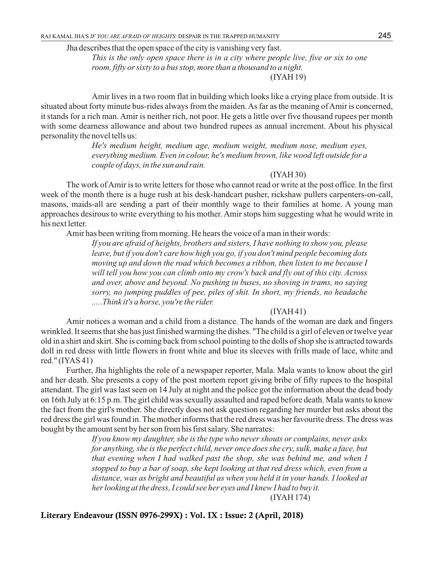Jha describes that the open space of the city is vanishing very fast.

*This is the only open space there is in a city where people live, five or six to one room, fifty or sixty to a bus stop, more than a thousand to a night.* (IYAH 19)

Amir lives in a two room flat in building which looks like a crying place from outside. It is situated about forty minute bus-rides always from the maiden. As far as the meaning of Amir is concerned, it stands for a rich man. Amir is neither rich, not poor. He gets a little over five thousand rupees per month with some dearness allowance and about two hundred rupees as annual increment. About his physical personality the novel tells us:

> *He's medium height, medium age, medium weight, medium nose, medium eyes, everything medium. Even in colour, he's medium brown, like wood left outside for a couple of days, in the sun and rain.*

# (IYAH 30)

The work of Amir is to write letters for those who cannot read or write at the post office. In the first week of the month there is a huge rush at his desk-handcart pusher, rickshaw pullers carpenters-on-call, masons, maids-all are sending a part of their monthly wage to their families at home. A young man approaches desirous to write everything to his mother. Amir stops him suggesting what he would write in his next letter.

Amir has been writing from morning. He hears the voice of a man in their words:

*If you are afraid of heights, brothers and sisters, I have nothing to show you, please leave, but if you don't care how high you go, if you don't mind people becoming dots moving up and down the road which becomes a ribbon, then listen to me because I will tell you how you can climb onto my crow's back and fly out of this city. Across and over, above and beyond. No pushing in buses, no shoving in trams, no saying sorry, no jumping puddles of pee, piles of shit. In short, my friends, no headache .....Think it's a horse, you're the rider.*

#### (IYAH 41)

Amir notices a woman and a child from a distance. The hands of the woman are dark and fingers wrinkled. It seems that she has just finished warming the dishes. "The child is a girl of eleven or twelve year old in a shirt and skirt. She is coming back from school pointing to the dolls of shop she is attracted towards doll in red dress with little flowers in front white and blue its sleeves with frills made of lace, white and red." (IYAS 41)

Further, Jha highlights the role of a newspaper reporter, Mala. Mala wants to know about the girl and her death. She presents a copy of the post mortem report giving bribe of fifty rupees to the hospital attendant. The girl was last seen on 14 July at night and the police got the information about the dead body on 16th July at 6:15 p.m. The girl child was sexually assaulted and raped before death. Mala wants to know the fact from the girl's mother. She directly does not ask question regarding her murder but asks about the red dress the girl was found in. The mother informs that the red dress was her favourite dress. The dress was bought by the amount sent by her son from his first salary. She narrates:

> *If you know my daughter, she is the type who never shouts or complains, never asks for anything, she is the perfect child, never once does she cry, sulk, make a face, but that evening when I had walked past the shop, she was behind me, and when I stopped to buy a bar of soap, she kept looking at that red dress which, even from a distance, was as bright and beautiful as when you held it in your hands. I looked at her looking at the dress, I could see her eyes and I knew I had to buy it.*

> > (IYAH 174)

## **Literary Endeavour (ISSN 0976-299X) : Vol. IX : Issue: 2 (April, 2018)**